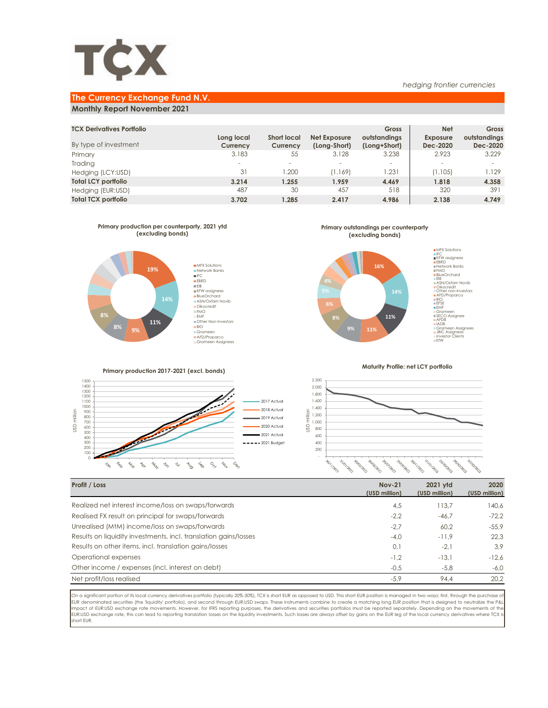

### *hedging frontier currencies*

# **The Currency Exchange Fund N.V.**

## **Monthly Report November 2021**

| <b>TCX Derivatives Portfolio</b><br>By type of investment | Long local<br>Currency   | <b>Short local</b><br>Currency | Net Exposure<br>(Long-Short) | <b>Gross</b><br>outstandings<br>(Long+Short) | <b>Net</b><br><b>Exposure</b><br>Dec-2020 | Gross<br>outstandings<br>Dec-2020 |
|-----------------------------------------------------------|--------------------------|--------------------------------|------------------------------|----------------------------------------------|-------------------------------------------|-----------------------------------|
| Primary                                                   | 3.183                    | 55                             | 3.128                        | 3.238                                        | 2.923                                     | 3.229                             |
| Trading                                                   | $\overline{\phantom{a}}$ |                                | $\overline{\phantom{a}}$     | $\overline{\phantom{a}}$                     | $\overline{\phantom{a}}$                  |                                   |
| Hedging (LCY:USD)                                         | 31                       | .200                           | (1.169)                      | 1.231                                        | (1.105)                                   | 1.129                             |
| <b>Total LCY portfolio</b>                                | 3.214                    | 1.255                          | 1.959                        | 4.469                                        | 1.818                                     | 4.358                             |
| Hedging (EUR:USD)                                         | 487                      | 30                             | 457                          | 518                                          | 320                                       | 391                               |
| <b>Total TCX portfolio</b>                                | 3.702                    | 1.285                          | 2.417                        | 4.986                                        | 2.138                                     | 4.749                             |



**Primary outstandings per counterparty (excluding bonds)**



**Primary production 2017-2021 (excl. bonds)**





**Maturity Profile: net LCY portfolio**



| Profit / Loss                                                    | <b>Nov-21</b><br>(USD million) | 2021 vtd<br>(USD million) | 2020<br>(USD million) |
|------------------------------------------------------------------|--------------------------------|---------------------------|-----------------------|
| Realized net interest income/loss on swaps/forwards              | 4,5                            | 113.7                     | 140.6                 |
| Realised FX result on principal for swaps/forwards               | $-2,2$                         | $-46.7$                   | $-72.2$               |
| Unrealised (MtM) income/loss on swaps/forwards                   | $-2.7$                         | 60.2                      | $-55.9$               |
| Results on liquidity investments, incl. translation gains/losses | $-4.0$                         | $-11.9$                   | 22.3                  |
| Results on other items, incl. translation gains/losses           | 0,1                            | $-2.1$                    | 3.9                   |
| Operational expenses                                             | $-1.2$                         | $-13.1$                   | $-12.6$               |
| Other income / expenses (incl. interest on debt)                 | $-0,5$                         | $-5,8$                    | $-6,0$                |
| Net profit/loss realised                                         | $-5,9$                         | 94.4                      | 20.2                  |

On a significant portion of its local currency derivatives portfolio (typically 20%-30%), TCX is short EUR as opposed to USD. This short EUR position is managed in two ways: first, through the purchase of<br>EUR denominated s impact of EUR:USD exchange rate movements. However, for IFRS reporting purposes, the derivatives and securities portfolios must be reported separately. Depending on the movements of the<br>EUR:USD exchange rate, this can lead short EUR.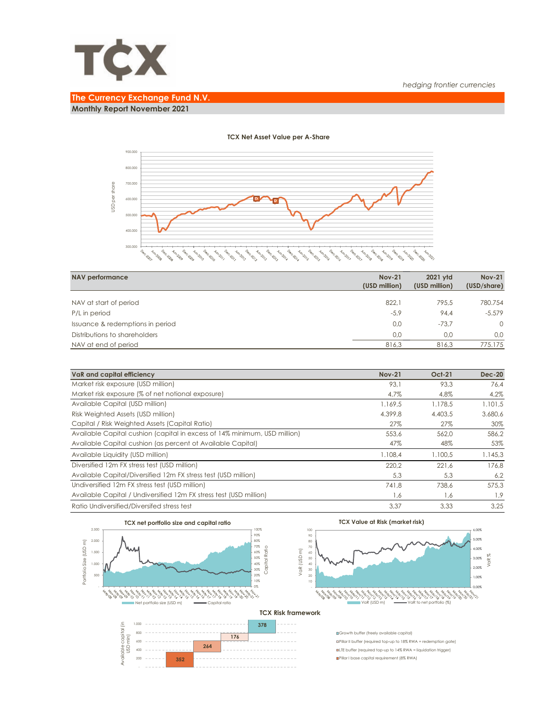

## *hedging frontier currencies*

# **The Currency Exchange Fund N.V.**

**Monthly Report November 2021**



## **TCX Net Asset Value per A-Share**

| <b>NAV performance</b>           | <b>Nov-21</b><br>(USD million) | 2021 vtd<br>(USD million) | <b>Nov-21</b><br>(USD/share) |
|----------------------------------|--------------------------------|---------------------------|------------------------------|
|                                  |                                |                           |                              |
| NAV at start of period           | 822.1                          | 795.5                     | 780.754                      |
| P/L in period                    | $-5,9$                         | 94.4                      | $-5.579$                     |
| Issuance & redemptions in period | 0,0                            | $-73.7$                   | $\Omega$                     |
| Distributions to shareholders    | 0.0                            | 0.0                       | 0.0                          |
| NAV at end of period             | 816,3                          | 816.3                     | 775.175                      |

| VaR and capital efficiency                                                | <b>Nov-21</b> | <b>Oct-21</b> | <b>Dec-20</b> |
|---------------------------------------------------------------------------|---------------|---------------|---------------|
| Market risk exposure (USD million)                                        | 93.1          | 93.3          | 76.4          |
| Market risk exposure (% of net notional exposure)                         | 4.7%          | 4.8%          | 4,2%          |
| Available Capital (USD million)                                           | 1.169,5       | 1.178.5       | 1.101,5       |
| Risk Weighted Assets (USD million)                                        | 4.399.8       | 4.403.5       | 3.680,6       |
| Capital / Risk Weighted Assets (Capital Ratio)                            | 27%           | 27%           | 30%           |
| Available Capital cushion (capital in excess of 14% minimum, USD million) | 553,6         | 562.0         | 586,2         |
| Available Capital cushion (as percent of Available Capital)               | 47%           | 48%           | 53%           |
| Available Liquidity (USD million)                                         | 1.108.4       | 1.100.5       | 1.145,3       |
| Diversified 12m FX stress test (USD million)                              | 220.2         | 221.6         | 176.8         |
| Available Capital/Diversified 12m FX stress test (USD million)            | 5,3           | 5,3           | 6,2           |
| Undiversified 12m FX stress test (USD million)                            | 741,8         | 738.6         | 575.3         |
| Available Capital / Undiversified 12m FX stress test (USD million)        | 1,6           | 1,6           | 1,9           |
| Ratio Undiversified/Diversifed stress test                                | 3.37          | 3.33          | 3.25          |



**352** 

 - 200 **TCX Value at Risk (market risk)**



### **TCX Risk framework**

Growth buffer (freely available capital) Pillar II buffer (required top-up to 18% RWA = redemption gate) LTE buffer (required top-up to 14% RWA = liquidation trigger) Pillar I base capital requirement (8% RWA)